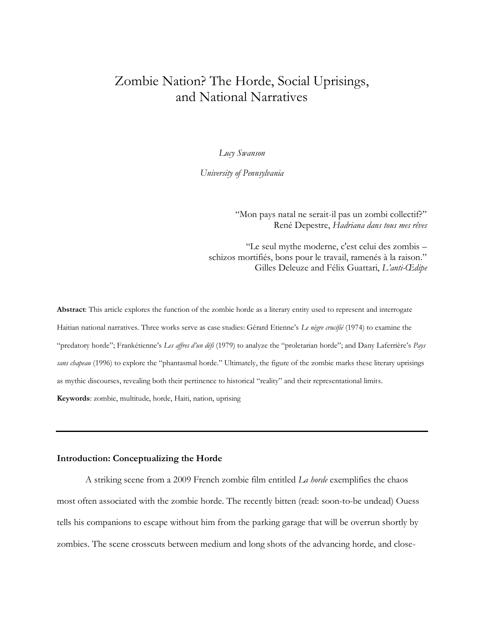# Zombie Nation? The Horde, Social Uprisings, and National Narratives

*Lucy Swanson*

*University of Pennsylvania*

"Mon pays natal ne serait-il pas un zombi collectif?" René Depestre, *Hadriana dans tous mes rêves*

"Le seul mythe moderne, c'est celui des zombis – schizos mortifiés, bons pour le travail, ramenés à la raison." Gilles Deleuze and Félix Guattari, *L'anti-Œdipe*

**Abstract**: This article explores the function of the zombie horde as a literary entity used to represent and interrogate Haitian national narratives. Three works serve as case studies: Gérard Etienne's *Le nègre crucifié* (1974) to examine the "predatory horde"; Frankétienne's *Les affres d'un défi* (1979) to analyze the "proletarian horde"; and Dany Laferrière's *Pays sans chapeau* (1996) to explore the "phantasmal horde." Ultimately, the figure of the zombie marks these literary uprisings as mythic discourses, revealing both their pertinence to historical "reality" and their representational limits. **Keywords**: zombie, multitude, horde, Haiti, nation, uprising

## **Introduction: Conceptualizing the Horde**

A striking scene from a 2009 French zombie film entitled *La horde* exemplifies the chaos most often associated with the zombie horde. The recently bitten (read: soon-to-be undead) Ouess tells his companions to escape without him from the parking garage that will be overrun shortly by zombies. The scene crosscuts between medium and long shots of the advancing horde, and close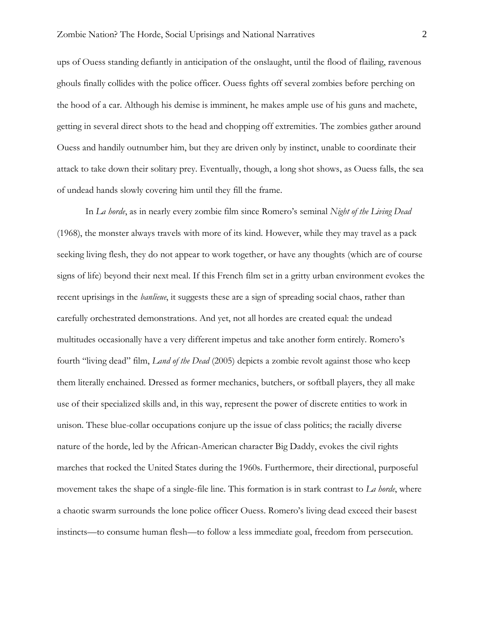ups of Ouess standing defiantly in anticipation of the onslaught, until the flood of flailing, ravenous ghouls finally collides with the police officer. Ouess fights off several zombies before perching on the hood of a car. Although his demise is imminent, he makes ample use of his guns and machete, getting in several direct shots to the head and chopping off extremities. The zombies gather around Ouess and handily outnumber him, but they are driven only by instinct, unable to coordinate their attack to take down their solitary prey. Eventually, though, a long shot shows, as Ouess falls, the sea of undead hands slowly covering him until they fill the frame.

In *La horde*, as in nearly every zombie film since Romero's seminal *Night of the Living Dead*  (1968), the monster always travels with more of its kind. However, while they may travel as a pack seeking living flesh, they do not appear to work together, or have any thoughts (which are of course signs of life) beyond their next meal. If this French film set in a gritty urban environment evokes the recent uprisings in the *banlieue*, it suggests these are a sign of spreading social chaos, rather than carefully orchestrated demonstrations. And yet, not all hordes are created equal: the undead multitudes occasionally have a very different impetus and take another form entirely. Romero's fourth "living dead" film, *Land of the Dead* (2005) depicts a zombie revolt against those who keep them literally enchained. Dressed as former mechanics, butchers, or softball players, they all make use of their specialized skills and, in this way, represent the power of discrete entities to work in unison. These blue-collar occupations conjure up the issue of class politics; the racially diverse nature of the horde, led by the African-American character Big Daddy, evokes the civil rights marches that rocked the United States during the 1960s. Furthermore, their directional, purposeful movement takes the shape of a single-file line. This formation is in stark contrast to *La horde*, where a chaotic swarm surrounds the lone police officer Ouess. Romero's living dead exceed their basest instincts—to consume human flesh—to follow a less immediate goal, freedom from persecution.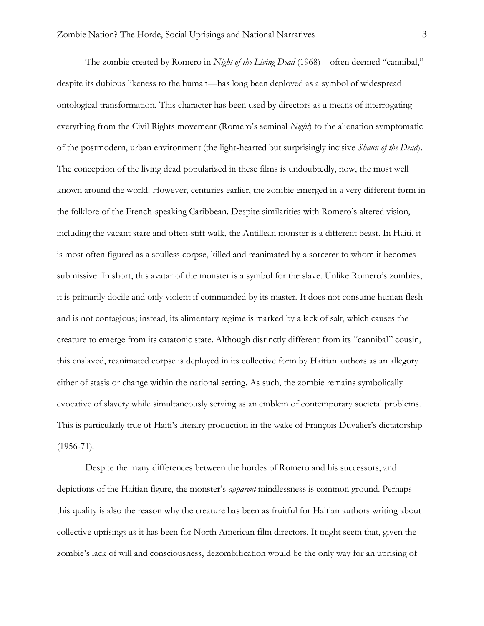The zombie created by Romero in *Night of the Living Dead* (1968)—often deemed "cannibal," despite its dubious likeness to the human—has long been deployed as a symbol of widespread ontological transformation. This character has been used by directors as a means of interrogating everything from the Civil Rights movement (Romero's seminal *Night*) to the alienation symptomatic of the postmodern, urban environment (the light-hearted but surprisingly incisive *Shaun of the Dead*). The conception of the living dead popularized in these films is undoubtedly, now, the most well known around the world. However, centuries earlier, the zombie emerged in a very different form in the folklore of the French-speaking Caribbean. Despite similarities with Romero's altered vision, including the vacant stare and often-stiff walk, the Antillean monster is a different beast. In Haiti, it is most often figured as a soulless corpse, killed and reanimated by a sorcerer to whom it becomes submissive. In short, this avatar of the monster is a symbol for the slave. Unlike Romero's zombies, it is primarily docile and only violent if commanded by its master. It does not consume human flesh and is not contagious; instead, its alimentary regime is marked by a lack of salt, which causes the creature to emerge from its catatonic state. Although distinctly different from its "cannibal" cousin, this enslaved, reanimated corpse is deployed in its collective form by Haitian authors as an allegory either of stasis or change within the national setting. As such, the zombie remains symbolically evocative of slavery while simultaneously serving as an emblem of contemporary societal problems. This is particularly true of Haiti's literary production in the wake of François Duvalier's dictatorship  $(1956 - 71)$ .

Despite the many differences between the hordes of Romero and his successors, and depictions of the Haitian figure, the monster's *apparent* mindlessness is common ground. Perhaps this quality is also the reason why the creature has been as fruitful for Haitian authors writing about collective uprisings as it has been for North American film directors. It might seem that, given the zombie's lack of will and consciousness, dezombification would be the only way for an uprising of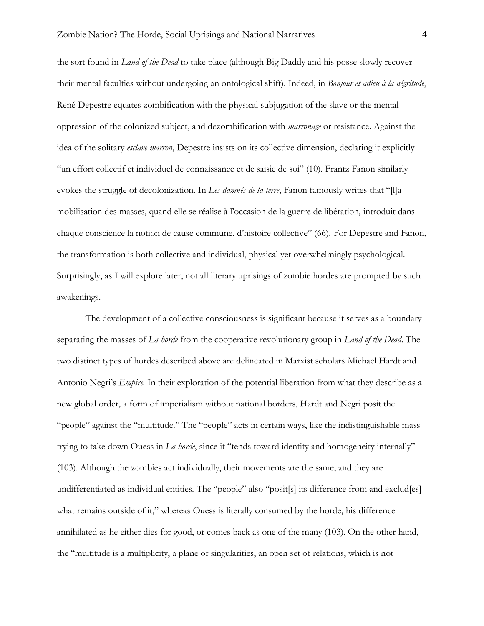the sort found in *Land of the Dead* to take place (although Big Daddy and his posse slowly recover their mental faculties without undergoing an ontological shift). Indeed, in *Bonjour et adieu à la négritude*, René Depestre equates zombification with the physical subjugation of the slave or the mental oppression of the colonized subject, and dezombification with *marronage* or resistance. Against the idea of the solitary *esclave marron*, Depestre insists on its collective dimension, declaring it explicitly "un effort collectif et individuel de connaissance et de saisie de soi" (10). Frantz Fanon similarly evokes the struggle of decolonization. In *Les damnés de la terre*, Fanon famously writes that "[l]a mobilisation des masses, quand elle se réalise à l'occasion de la guerre de libération, introduit dans chaque conscience la notion de cause commune, d'histoire collective" (66). For Depestre and Fanon, the transformation is both collective and individual, physical yet overwhelmingly psychological. Surprisingly, as I will explore later, not all literary uprisings of zombie hordes are prompted by such awakenings.

The development of a collective consciousness is significant because it serves as a boundary separating the masses of *La horde* from the cooperative revolutionary group in *Land of the Dead*. The two distinct types of hordes described above are delineated in Marxist scholars Michael Hardt and Antonio Negri's *Empire*. In their exploration of the potential liberation from what they describe as a new global order, a form of imperialism without national borders, Hardt and Negri posit the "people" against the "multitude." The "people" acts in certain ways, like the indistinguishable mass trying to take down Ouess in *La horde*, since it "tends toward identity and homogeneity internally" (103). Although the zombies act individually, their movements are the same, and they are undifferentiated as individual entities. The "people" also "posit[s] its difference from and exclud[es] what remains outside of it," whereas Ouess is literally consumed by the horde, his difference annihilated as he either dies for good, or comes back as one of the many (103). On the other hand, the "multitude is a multiplicity, a plane of singularities, an open set of relations, which is not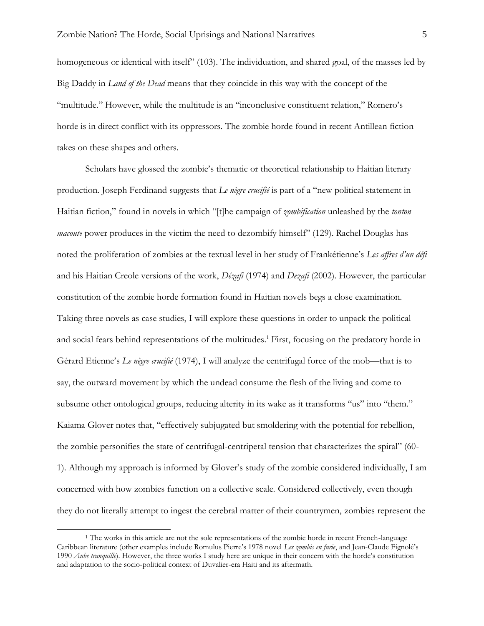homogeneous or identical with itself" (103). The individuation, and shared goal, of the masses led by Big Daddy in *Land of the Dead* means that they coincide in this way with the concept of the "multitude." However, while the multitude is an "inconclusive constituent relation," Romero's horde is in direct conflict with its oppressors. The zombie horde found in recent Antillean fiction takes on these shapes and others.

Scholars have glossed the zombie's thematic or theoretical relationship to Haitian literary production. Joseph Ferdinand suggests that *Le nègre crucifié* is part of a "new political statement in Haitian fiction," found in novels in which "[t]he campaign of *zombification* unleashed by the *tonton macoute* power produces in the victim the need to dezombify himself" (129). Rachel Douglas has noted the proliferation of zombies at the textual level in her study of Frankétienne's *Les affres d'un défi*  and his Haitian Creole versions of the work, *Dézafi* (1974) and *Dezafi* (2002). However, the particular constitution of the zombie horde formation found in Haitian novels begs a close examination. Taking three novels as case studies, I will explore these questions in order to unpack the political and social fears behind representations of the multitudes.<sup>1</sup> First, focusing on the predatory horde in Gérard Etienne's *Le nègre crucifié* (1974), I will analyze the centrifugal force of the mob—that is to say, the outward movement by which the undead consume the flesh of the living and come to subsume other ontological groups, reducing alterity in its wake as it transforms "us" into "them." Kaiama Glover notes that, "effectively subjugated but smoldering with the potential for rebellion, the zombie personifies the state of centrifugal-centripetal tension that characterizes the spiral" (60- 1). Although my approach is informed by Glover's study of the zombie considered individually, I am concerned with how zombies function on a collective scale. Considered collectively, even though they do not literally attempt to ingest the cerebral matter of their countrymen, zombies represent the

<sup>&</sup>lt;sup>1</sup> The works in this article are not the sole representations of the zombie horde in recent French-language Caribbean literature (other examples include Romulus Pierre's 1978 novel *Les zombis en furie*, and Jean-Claude Fignolé's 1990 *Aube tranquille*). However, the three works I study here are unique in their concern with the horde's constitution and adaptation to the socio-political context of Duvalier-era Haiti and its aftermath.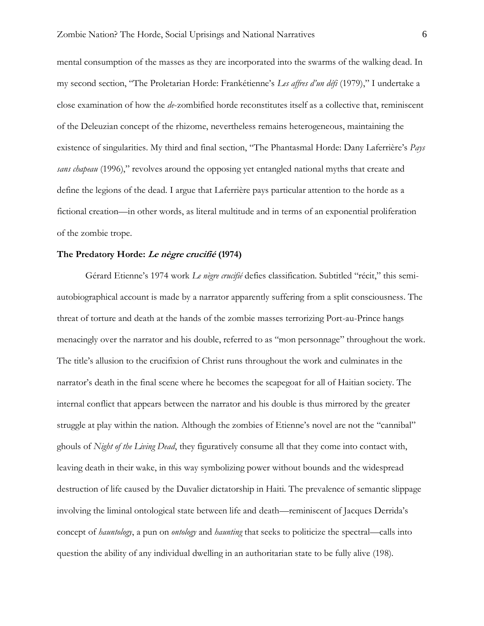mental consumption of the masses as they are incorporated into the swarms of the walking dead. In my second section, "The Proletarian Horde: Frankétienne's *Les affres d'un défi* (1979)," I undertake a close examination of how the *de*-zombified horde reconstitutes itself as a collective that, reminiscent of the Deleuzian concept of the rhizome, nevertheless remains heterogeneous, maintaining the existence of singularities. My third and final section, "The Phantasmal Horde: Dany Laferrière's *Pays sans chapeau* (1996)," revolves around the opposing yet entangled national myths that create and define the legions of the dead. I argue that Laferrière pays particular attention to the horde as a fictional creation—in other words, as literal multitude and in terms of an exponential proliferation of the zombie trope.

#### **The Predatory Horde: Le nègre crucifié (1974)**

Gérard Etienne's 1974 work *Le nègre crucifié* defies classification. Subtitled "récit," this semiautobiographical account is made by a narrator apparently suffering from a split consciousness. The threat of torture and death at the hands of the zombie masses terrorizing Port-au-Prince hangs menacingly over the narrator and his double, referred to as "mon personnage" throughout the work. The title's allusion to the crucifixion of Christ runs throughout the work and culminates in the narrator's death in the final scene where he becomes the scapegoat for all of Haitian society. The internal conflict that appears between the narrator and his double is thus mirrored by the greater struggle at play within the nation. Although the zombies of Etienne's novel are not the "cannibal" ghouls of *Night of the Living Dead*, they figuratively consume all that they come into contact with, leaving death in their wake, in this way symbolizing power without bounds and the widespread destruction of life caused by the Duvalier dictatorship in Haiti. The prevalence of semantic slippage involving the liminal ontological state between life and death—reminiscent of Jacques Derrida's concept of *hauntology*, a pun on *ontology* and *haunting* that seeks to politicize the spectral—calls into question the ability of any individual dwelling in an authoritarian state to be fully alive (198).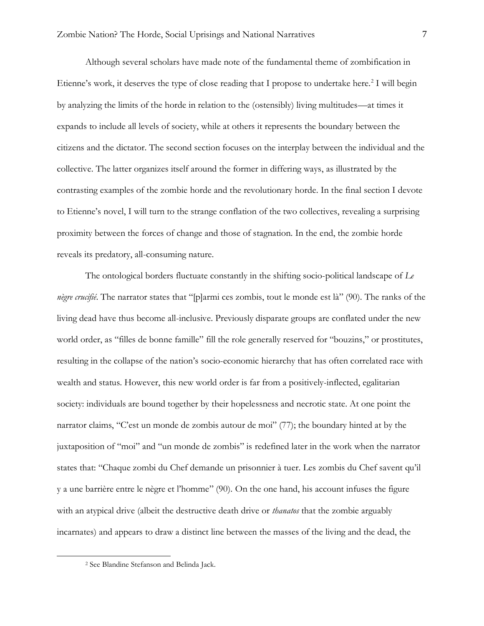Although several scholars have made note of the fundamental theme of zombification in Etienne's work, it deserves the type of close reading that I propose to undertake here.<sup>2</sup> I will begin by analyzing the limits of the horde in relation to the (ostensibly) living multitudes—at times it expands to include all levels of society, while at others it represents the boundary between the citizens and the dictator. The second section focuses on the interplay between the individual and the collective. The latter organizes itself around the former in differing ways, as illustrated by the contrasting examples of the zombie horde and the revolutionary horde. In the final section I devote to Etienne's novel, I will turn to the strange conflation of the two collectives, revealing a surprising proximity between the forces of change and those of stagnation. In the end, the zombie horde reveals its predatory, all-consuming nature.

The ontological borders fluctuate constantly in the shifting socio-political landscape of *Le nègre crucifié*. The narrator states that "[p]armi ces zombis, tout le monde est là" (90). The ranks of the living dead have thus become all-inclusive. Previously disparate groups are conflated under the new world order, as "filles de bonne famille" fill the role generally reserved for "bouzins," or prostitutes, resulting in the collapse of the nation's socio-economic hierarchy that has often correlated race with wealth and status. However, this new world order is far from a positively-inflected, egalitarian society: individuals are bound together by their hopelessness and necrotic state. At one point the narrator claims, "C'est un monde de zombis autour de moi" (77); the boundary hinted at by the juxtaposition of "moi" and "un monde de zombis" is redefined later in the work when the narrator states that: "Chaque zombi du Chef demande un prisonnier à tuer. Les zombis du Chef savent qu'il y a une barrière entre le nègre et l'homme" (90). On the one hand, his account infuses the figure with an atypical drive (albeit the destructive death drive or *thanatos* that the zombie arguably incarnates) and appears to draw a distinct line between the masses of the living and the dead, the

<sup>2</sup> See Blandine Stefanson and Belinda Jack.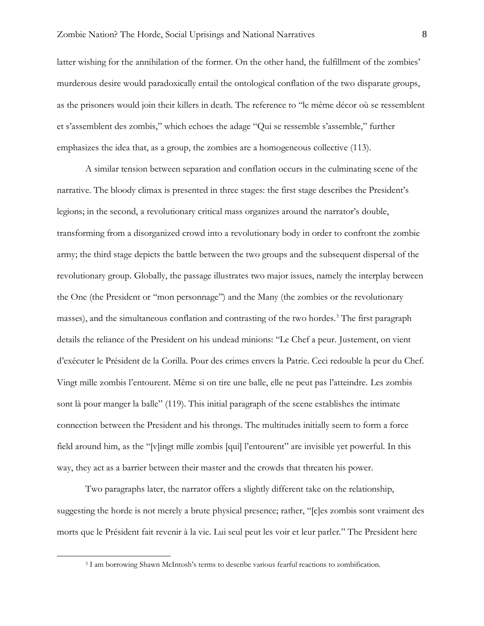latter wishing for the annihilation of the former. On the other hand, the fulfillment of the zombies' murderous desire would paradoxically entail the ontological conflation of the two disparate groups, as the prisoners would join their killers in death. The reference to "le même décor où se ressemblent et s'assemblent des zombis," which echoes the adage "Qui se ressemble s'assemble," further emphasizes the idea that, as a group, the zombies are a homogeneous collective (113).

A similar tension between separation and conflation occurs in the culminating scene of the narrative. The bloody climax is presented in three stages: the first stage describes the President's legions; in the second, a revolutionary critical mass organizes around the narrator's double, transforming from a disorganized crowd into a revolutionary body in order to confront the zombie army; the third stage depicts the battle between the two groups and the subsequent dispersal of the revolutionary group. Globally, the passage illustrates two major issues, namely the interplay between the One (the President or "mon personnage") and the Many (the zombies or the revolutionary masses), and the simultaneous conflation and contrasting of the two hordes.<sup>3</sup> The first paragraph details the reliance of the President on his undead minions: "Le Chef a peur. Justement, on vient d'exécuter le Président de la Corilla. Pour des crimes envers la Patrie. Ceci redouble la peur du Chef. Vingt mille zombis l'entourent. Même si on tire une balle, elle ne peut pas l'atteindre. Les zombis sont là pour manger la balle" (119). This initial paragraph of the scene establishes the intimate connection between the President and his throngs. The multitudes initially seem to form a force field around him, as the "[v]ingt mille zombis [qui] l'entourent" are invisible yet powerful. In this way, they act as a barrier between their master and the crowds that threaten his power.

Two paragraphs later, the narrator offers a slightly different take on the relationship, suggesting the horde is not merely a brute physical presence; rather, "[c]es zombis sont vraiment des morts que le Président fait revenir à la vie. Lui seul peut les voir et leur parler." The President here

<sup>3</sup> I am borrowing Shawn McIntosh's terms to describe various fearful reactions to zombification.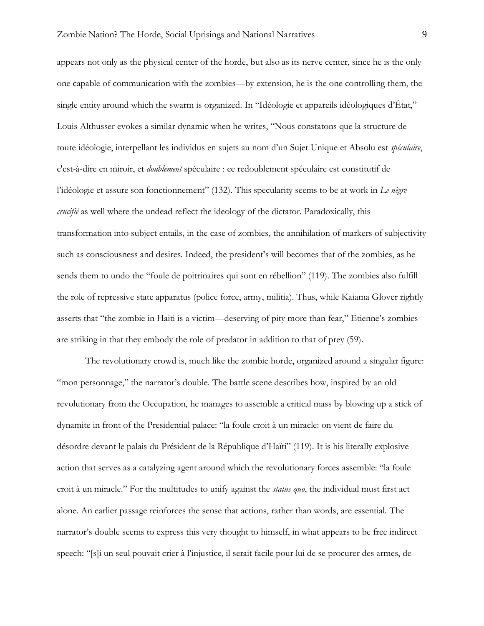appears not only as the physical center of the horde, but also as its nerve center, since he is the only one capable of communication with the zombies—by extension, he is the one controlling them, the single entity around which the swarm is organized. In "Idéologie et appareils idéologiques d'État," Louis Althusser evokes a similar dynamic when he writes, "Nous constatons que la structure de toute idéologie, interpellant les individus en sujets au nom d'un Sujet Unique et Absolu est *spéculaire*, c'est-à-dire en miroir, et *doublement* spéculaire : ce redoublement spéculaire est constitutif de l'idéologie et assure son fonctionnement" (132). This specularity seems to be at work in *Le nègre crucifié* as well where the undead reflect the ideology of the dictator. Paradoxically, this transformation into subject entails, in the case of zombies, the annihilation of markers of subjectivity such as consciousness and desires. Indeed, the president's will becomes that of the zombies, as he sends them to undo the "foule de poitrinaires qui sont en rébellion" (119). The zombies also fulfill the role of repressive state apparatus (police force, army, militia). Thus, while Kaiama Glover rightly asserts that "the zombie in Haiti is a victim—deserving of pity more than fear," Etienne's zombies are striking in that they embody the role of predator in addition to that of prey (59).

The revolutionary crowd is, much like the zombie horde, organized around a singular figure: "mon personnage," the narrator's double. The battle scene describes how, inspired by an old revolutionary from the Occupation, he manages to assemble a critical mass by blowing up a stick of dynamite in front of the Presidential palace: "la foule croit à un miracle: on vient de faire du désordre devant le palais du Président de la République d'Haïti" (119). It is his literally explosive action that serves as a catalyzing agent around which the revolutionary forces assemble: "la foule croit à un miracle." For the multitudes to unify against the *status quo*, the individual must first act alone. An earlier passage reinforces the sense that actions, rather than words, are essential. The narrator's double seems to express this very thought to himself, in what appears to be free indirect speech: "[s]i un seul pouvait crier à l'injustice, il serait facile pour lui de se procurer des armes, de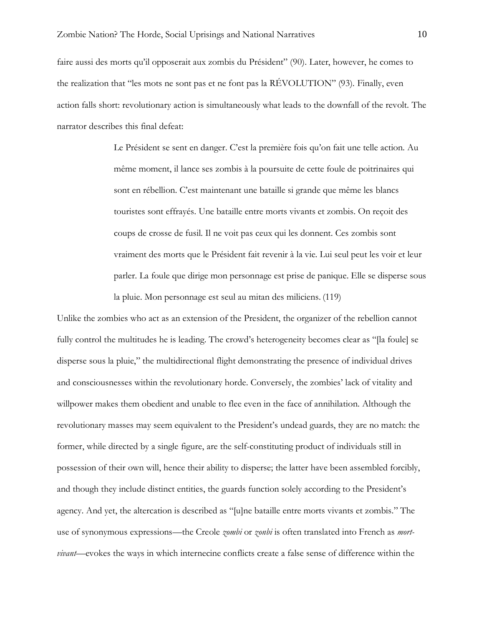faire aussi des morts qu'il opposerait aux zombis du Président" (90). Later, however, he comes to the realization that "les mots ne sont pas et ne font pas la RÉVOLUTION" (93). Finally, even action falls short: revolutionary action is simultaneously what leads to the downfall of the revolt. The narrator describes this final defeat:

> Le Président se sent en danger. C'est la première fois qu'on fait une telle action. Au même moment, il lance ses zombis à la poursuite de cette foule de poitrinaires qui sont en rébellion. C'est maintenant une bataille si grande que même les blancs touristes sont effrayés. Une bataille entre morts vivants et zombis. On reçoit des coups de crosse de fusil. Il ne voit pas ceux qui les donnent. Ces zombis sont vraiment des morts que le Président fait revenir à la vie. Lui seul peut les voir et leur parler. La foule que dirige mon personnage est prise de panique. Elle se disperse sous la pluie. Mon personnage est seul au mitan des miliciens. (119)

Unlike the zombies who act as an extension of the President, the organizer of the rebellion cannot fully control the multitudes he is leading. The crowd's heterogeneity becomes clear as "[la foule] se disperse sous la pluie," the multidirectional flight demonstrating the presence of individual drives and consciousnesses within the revolutionary horde. Conversely, the zombies' lack of vitality and willpower makes them obedient and unable to flee even in the face of annihilation. Although the revolutionary masses may seem equivalent to the President's undead guards, they are no match: the former, while directed by a single figure, are the self-constituting product of individuals still in possession of their own will, hence their ability to disperse; the latter have been assembled forcibly, and though they include distinct entities, the guards function solely according to the President's agency. And yet, the altercation is described as "[u]ne bataille entre morts vivants et zombis." The use of synonymous expressions—the Creole *zombi* or *zonbi* is often translated into French as *mortvivant*—evokes the ways in which internecine conflicts create a false sense of difference within the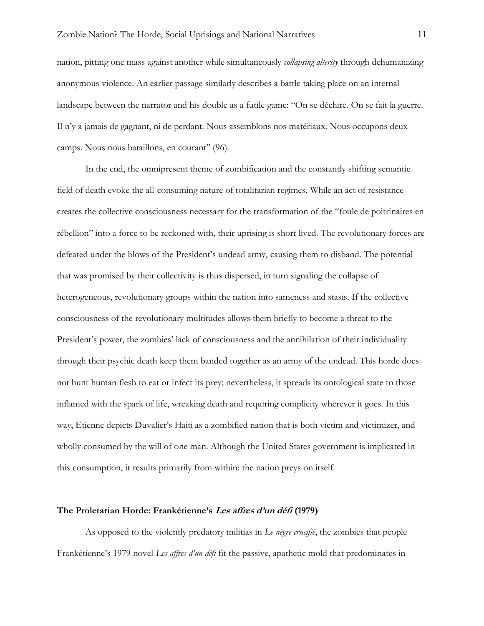nation, pitting one mass against another while simultaneously *collapsing alterity* through dehumanizing anonymous violence. An earlier passage similarly describes a battle taking place on an internal landscape between the narrator and his double as a futile game: "On se déchire. On se fait la guerre. Il n'y a jamais de gagnant, ni de perdant. Nous assemblons nos matériaux. Nous occupons deux camps. Nous nous bataillons, en courant" (96).

In the end, the omnipresent theme of zombification and the constantly shifting semantic field of death evoke the all-consuming nature of totalitarian regimes. While an act of resistance creates the collective consciousness necessary for the transformation of the "foule de poitrinaires en rébellion" into a force to be reckoned with, their uprising is short lived. The revolutionary forces are defeated under the blows of the President's undead army, causing them to disband. The potential that was promised by their collectivity is thus dispersed, in turn signaling the collapse of heterogeneous, revolutionary groups within the nation into sameness and stasis. If the collective consciousness of the revolutionary multitudes allows them briefly to become a threat to the President's power, the zombies' lack of consciousness and the annihilation of their individuality through their psychic death keep them banded together as an army of the undead. This horde does not hunt human flesh to eat or infect its prey; nevertheless, it spreads its ontological state to those inflamed with the spark of life, wreaking death and requiring complicity wherever it goes. In this way, Etienne depicts Duvalier's Haiti as a zombified nation that is both victim and victimizer, and wholly consumed by the will of one man. Although the United States government is implicated in this consumption, it results primarily from within: the nation preys on itself.

#### **The Proletarian Horde: Frankétienne's Les affres d'un défi (1979)**

As opposed to the violently predatory militias in *Le nègre crucifié*, the zombies that people Frankétienne's 1979 novel *Les affres d'un défi* fit the passive, apathetic mold that predominates in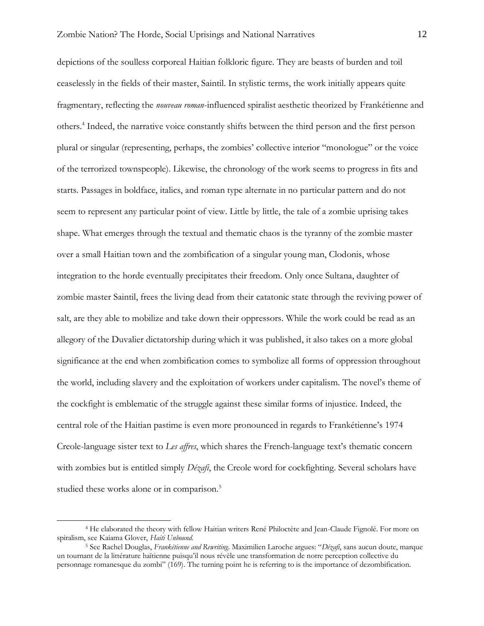depictions of the soulless corporeal Haitian folkloric figure. They are beasts of burden and toil ceaselessly in the fields of their master, Saintil. In stylistic terms, the work initially appears quite fragmentary, reflecting the *nouveau roman*-influenced spiralist aesthetic theorized by Frankétienne and others.<sup>4</sup> Indeed, the narrative voice constantly shifts between the third person and the first person plural or singular (representing, perhaps, the zombies' collective interior "monologue" or the voice of the terrorized townspeople). Likewise, the chronology of the work seems to progress in fits and starts. Passages in boldface, italics, and roman type alternate in no particular pattern and do not seem to represent any particular point of view. Little by little, the tale of a zombie uprising takes shape. What emerges through the textual and thematic chaos is the tyranny of the zombie master over a small Haitian town and the zombification of a singular young man, Clodonis, whose integration to the horde eventually precipitates their freedom. Only once Sultana, daughter of zombie master Saintil, frees the living dead from their catatonic state through the reviving power of salt, are they able to mobilize and take down their oppressors. While the work could be read as an allegory of the Duvalier dictatorship during which it was published, it also takes on a more global significance at the end when zombification comes to symbolize all forms of oppression throughout the world, including slavery and the exploitation of workers under capitalism. The novel's theme of the cockfight is emblematic of the struggle against these similar forms of injustice. Indeed, the central role of the Haitian pastime is even more pronounced in regards to Frankétienne's 1974 Creole-language sister text to *Les affres*, which shares the French-language text's thematic concern with zombies but is entitled simply *Dézafi*, the Creole word for cockfighting. Several scholars have studied these works alone or in comparison.<sup>5</sup>

<sup>4</sup> He elaborated the theory with fellow Haitian writers René Philoctète and Jean-Claude Fignolé. For more on spiralism, see Kaiama Glover, *Haiti Unbound*.

<sup>5</sup> See Rachel Douglas, *Frankétienne and Rewriting*. Maximilien Laroche argues: "*Dézafi*, sans aucun doute, marque un tournant de la littérature haïtienne puisqu'il nous révèle une transformation de notre perception collective du personnage romanesque du zombi" (169). The turning point he is referring to is the importance of dezombification.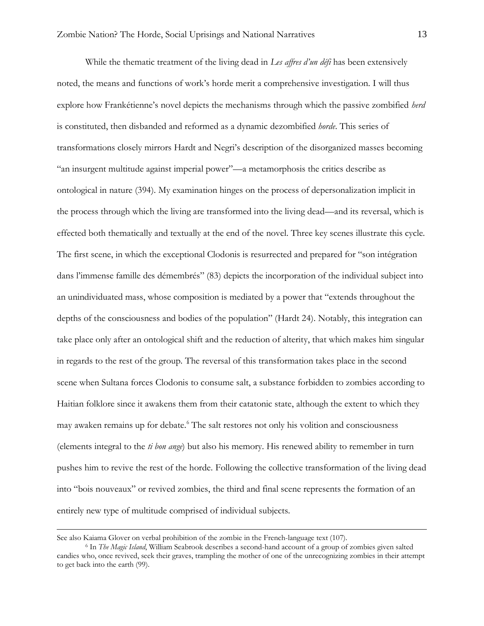While the thematic treatment of the living dead in *Les affres d'un défi* has been extensively noted, the means and functions of work's horde merit a comprehensive investigation. I will thus explore how Frankétienne's novel depicts the mechanisms through which the passive zombified *herd* is constituted, then disbanded and reformed as a dynamic dezombified *horde*. This series of transformations closely mirrors Hardt and Negri's description of the disorganized masses becoming "an insurgent multitude against imperial power"—a metamorphosis the critics describe as ontological in nature (394). My examination hinges on the process of depersonalization implicit in the process through which the living are transformed into the living dead—and its reversal, which is effected both thematically and textually at the end of the novel. Three key scenes illustrate this cycle. The first scene, in which the exceptional Clodonis is resurrected and prepared for "son intégration dans l'immense famille des démembrés" (83) depicts the incorporation of the individual subject into an unindividuated mass, whose composition is mediated by a power that "extends throughout the depths of the consciousness and bodies of the population" (Hardt 24). Notably, this integration can take place only after an ontological shift and the reduction of alterity, that which makes him singular in regards to the rest of the group. The reversal of this transformation takes place in the second scene when Sultana forces Clodonis to consume salt, a substance forbidden to zombies according to Haitian folklore since it awakens them from their catatonic state, although the extent to which they may awaken remains up for debate.<sup>6</sup> The salt restores not only his volition and consciousness (elements integral to the *ti bon ange*) but also his memory. His renewed ability to remember in turn pushes him to revive the rest of the horde. Following the collective transformation of the living dead into "bois nouveaux" or revived zombies, the third and final scene represents the formation of an entirely new type of multitude comprised of individual subjects.

See also Kaiama Glover on verbal prohibition of the zombie in the French-language text (107).

<sup>6</sup> In *The Magic Island*, William Seabrook describes a second-hand account of a group of zombies given salted candies who, once revived, seek their graves, trampling the mother of one of the unrecognizing zombies in their attempt to get back into the earth (99).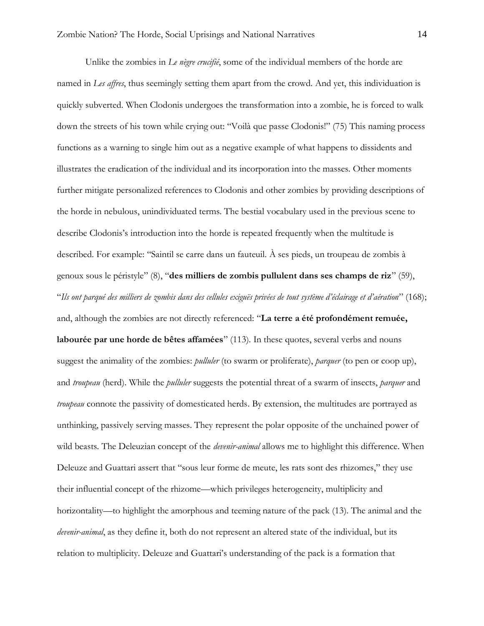Unlike the zombies in *Le nègre crucifié*, some of the individual members of the horde are named in *Les affres*, thus seemingly setting them apart from the crowd. And yet, this individuation is quickly subverted. When Clodonis undergoes the transformation into a zombie, he is forced to walk down the streets of his town while crying out: "Voilà que passe Clodonis!" (75) This naming process functions as a warning to single him out as a negative example of what happens to dissidents and illustrates the eradication of the individual and its incorporation into the masses. Other moments further mitigate personalized references to Clodonis and other zombies by providing descriptions of the horde in nebulous, unindividuated terms. The bestial vocabulary used in the previous scene to describe Clodonis's introduction into the horde is repeated frequently when the multitude is described. For example: "Saintil se carre dans un fauteuil. À ses pieds, un troupeau de zombis à genoux sous le péristyle" (8), "**des milliers de zombis pullulent dans ses champs de riz**" (59), "*Ils ont parqué des milliers de zombis dans des cellules exiguës privées de tout système d'éclairage et d'aération*" (168); and, although the zombies are not directly referenced: "**La terre a été profondément remuée, labourée par une horde de bêtes affamées**" (113). In these quotes, several verbs and nouns suggest the animality of the zombies: *pulluler* (to swarm or proliferate), *parquer* (to pen or coop up), and *troupeau* (herd). While the *pulluler* suggests the potential threat of a swarm of insects, *parquer* and *troupeau* connote the passivity of domesticated herds. By extension, the multitudes are portrayed as unthinking, passively serving masses. They represent the polar opposite of the unchained power of wild beasts. The Deleuzian concept of the *devenir-animal* allows me to highlight this difference. When Deleuze and Guattari assert that "sous leur forme de meute, les rats sont des rhizomes," they use their influential concept of the rhizome—which privileges heterogeneity, multiplicity and horizontality—to highlight the amorphous and teeming nature of the pack (13). The animal and the *devenir-animal*, as they define it, both do not represent an altered state of the individual, but its relation to multiplicity. Deleuze and Guattari's understanding of the pack is a formation that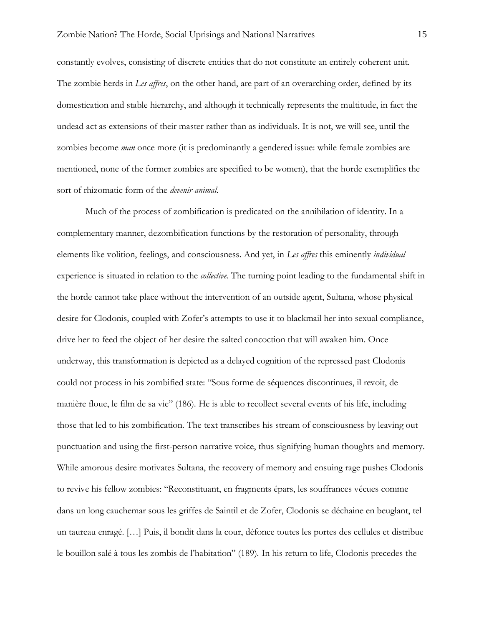constantly evolves, consisting of discrete entities that do not constitute an entirely coherent unit. The zombie herds in *Les affres*, on the other hand, are part of an overarching order, defined by its domestication and stable hierarchy, and although it technically represents the multitude, in fact the undead act as extensions of their master rather than as individuals. It is not, we will see, until the zombies become *man* once more (it is predominantly a gendered issue: while female zombies are mentioned, none of the former zombies are specified to be women), that the horde exemplifies the sort of rhizomatic form of the *devenir-animal*.

Much of the process of zombification is predicated on the annihilation of identity. In a complementary manner, dezombification functions by the restoration of personality, through elements like volition, feelings, and consciousness. And yet, in *Les affres* this eminently *individual* experience is situated in relation to the *collective*. The turning point leading to the fundamental shift in the horde cannot take place without the intervention of an outside agent, Sultana, whose physical desire for Clodonis, coupled with Zofer's attempts to use it to blackmail her into sexual compliance, drive her to feed the object of her desire the salted concoction that will awaken him. Once underway, this transformation is depicted as a delayed cognition of the repressed past Clodonis could not process in his zombified state: "Sous forme de séquences discontinues, il revoit, de manière floue, le film de sa vie" (186). He is able to recollect several events of his life, including those that led to his zombification. The text transcribes his stream of consciousness by leaving out punctuation and using the first-person narrative voice, thus signifying human thoughts and memory. While amorous desire motivates Sultana, the recovery of memory and ensuing rage pushes Clodonis to revive his fellow zombies: "Reconstituant, en fragments épars, les souffrances vécues comme dans un long cauchemar sous les griffes de Saintil et de Zofer, Clodonis se déchaine en beuglant, tel un taureau enragé. […] Puis, il bondit dans la cour, défonce toutes les portes des cellules et distribue le bouillon salé à tous les zombis de l'habitation" (189). In his return to life, Clodonis precedes the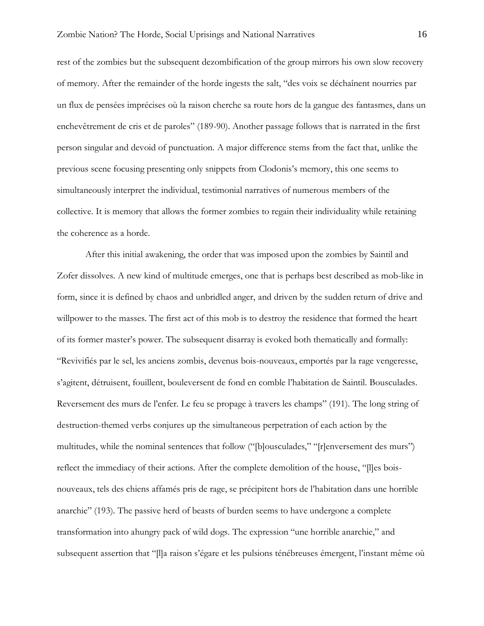rest of the zombies but the subsequent dezombification of the group mirrors his own slow recovery of memory. After the remainder of the horde ingests the salt, "des voix se déchaînent nourries par un flux de pensées imprécises où la raison cherche sa route hors de la gangue des fantasmes, dans un enchevêtrement de cris et de paroles" (189-90). Another passage follows that is narrated in the first person singular and devoid of punctuation. A major difference stems from the fact that, unlike the previous scene focusing presenting only snippets from Clodonis's memory, this one seems to simultaneously interpret the individual, testimonial narratives of numerous members of the collective. It is memory that allows the former zombies to regain their individuality while retaining the coherence as a horde.

After this initial awakening, the order that was imposed upon the zombies by Saintil and Zofer dissolves. A new kind of multitude emerges, one that is perhaps best described as mob-like in form, since it is defined by chaos and unbridled anger, and driven by the sudden return of drive and willpower to the masses. The first act of this mob is to destroy the residence that formed the heart of its former master's power. The subsequent disarray is evoked both thematically and formally: "Revivifiés par le sel, les anciens zombis, devenus bois-nouveaux, emportés par la rage vengeresse, s'agitent, détruisent, fouillent, bouleversent de fond en comble l'habitation de Saintil. Bousculades. Reversement des murs de l'enfer. Le feu se propage à travers les champs" (191). The long string of destruction-themed verbs conjures up the simultaneous perpetration of each action by the multitudes, while the nominal sentences that follow ("[b]ousculades," "[r]enversement des murs") reflect the immediacy of their actions. After the complete demolition of the house, "[l]es boisnouveaux, tels des chiens affamés pris de rage, se précipitent hors de l'habitation dans une horrible anarchie" (193). The passive herd of beasts of burden seems to have undergone a complete transformation into ahungry pack of wild dogs. The expression "une horrible anarchie," and subsequent assertion that "[l]a raison s'égare et les pulsions ténébreuses émergent, l'instant même où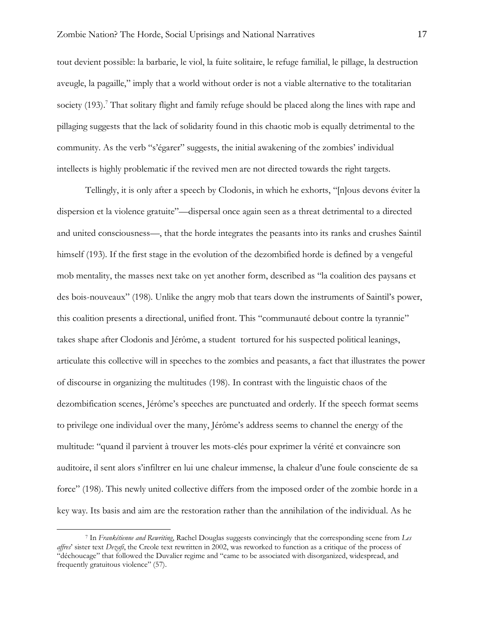tout devient possible: la barbarie, le viol, la fuite solitaire, le refuge familial, le pillage, la destruction aveugle, la pagaille," imply that a world without order is not a viable alternative to the totalitarian society (193).<sup>7</sup> That solitary flight and family refuge should be placed along the lines with rape and pillaging suggests that the lack of solidarity found in this chaotic mob is equally detrimental to the community. As the verb "s'égarer" suggests, the initial awakening of the zombies' individual intellects is highly problematic if the revived men are not directed towards the right targets.

Tellingly, it is only after a speech by Clodonis, in which he exhorts, "[n]ous devons éviter la dispersion et la violence gratuite"—dispersal once again seen as a threat detrimental to a directed and united consciousness—, that the horde integrates the peasants into its ranks and crushes Saintil himself (193). If the first stage in the evolution of the dezombified horde is defined by a vengeful mob mentality, the masses next take on yet another form, described as "la coalition des paysans et des bois-nouveaux" (198). Unlike the angry mob that tears down the instruments of Saintil's power, this coalition presents a directional, unified front. This "communauté debout contre la tyrannie" takes shape after Clodonis and Jérôme, a student tortured for his suspected political leanings, articulate this collective will in speeches to the zombies and peasants, a fact that illustrates the power of discourse in organizing the multitudes (198). In contrast with the linguistic chaos of the dezombification scenes, Jérôme's speeches are punctuated and orderly. If the speech format seems to privilege one individual over the many, Jérôme's address seems to channel the energy of the multitude: "quand il parvient à trouver les mots-clés pour exprimer la vérité et convaincre son auditoire, il sent alors s'infiltrer en lui une chaleur immense, la chaleur d'une foule consciente de sa force" (198). This newly united collective differs from the imposed order of the zombie horde in a key way. Its basis and aim are the restoration rather than the annihilation of the individual. As he

<sup>7</sup> In *Frankétienne and Rewriting*, Rachel Douglas suggests convincingly that the corresponding scene from *Les affres*' sister text *Dezafi*, the Creole text rewritten in 2002, was reworked to function as a critique of the process of "déchoucage" that followed the Duvalier regime and "came to be associated with disorganized, widespread, and frequently gratuitous violence" (57).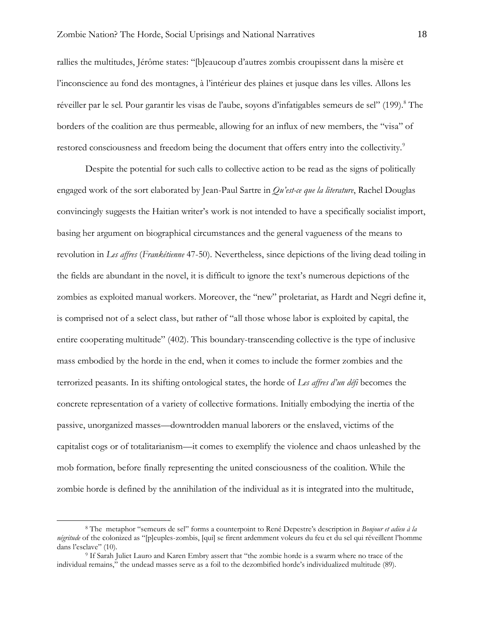rallies the multitudes, Jérôme states: "[b]eaucoup d'autres zombis croupissent dans la misère et l'inconscience au fond des montagnes, à l'intérieur des plaines et jusque dans les villes. Allons les réveiller par le sel. Pour garantir les visas de l'aube, soyons d'infatigables semeurs de sel" (199).<sup>8</sup> The borders of the coalition are thus permeable, allowing for an influx of new members, the "visa" of restored consciousness and freedom being the document that offers entry into the collectivity.<sup>9</sup>

Despite the potential for such calls to collective action to be read as the signs of politically engaged work of the sort elaborated by Jean-Paul Sartre in *Qu'est-ce que la literature*, Rachel Douglas convincingly suggests the Haitian writer's work is not intended to have a specifically socialist import, basing her argument on biographical circumstances and the general vagueness of the means to revolution in *Les affres* (*Frankétienne* 47-50). Nevertheless, since depictions of the living dead toiling in the fields are abundant in the novel, it is difficult to ignore the text's numerous depictions of the zombies as exploited manual workers. Moreover, the "new" proletariat, as Hardt and Negri define it, is comprised not of a select class, but rather of "all those whose labor is exploited by capital, the entire cooperating multitude" (402). This boundary-transcending collective is the type of inclusive mass embodied by the horde in the end, when it comes to include the former zombies and the terrorized peasants. In its shifting ontological states, the horde of *Les affres d'un défi* becomes the concrete representation of a variety of collective formations. Initially embodying the inertia of the passive, unorganized masses—downtrodden manual laborers or the enslaved, victims of the capitalist cogs or of totalitarianism—it comes to exemplify the violence and chaos unleashed by the mob formation, before finally representing the united consciousness of the coalition. While the zombie horde is defined by the annihilation of the individual as it is integrated into the multitude,

<sup>8</sup> The metaphor "semeurs de sel" forms a counterpoint to René Depestre's description in *Bonjour et adieu à la négritude* of the colonized as "[p]euples-zombis, [qui] se firent ardemment voleurs du feu et du sel qui réveillent l'homme dans l'esclave" (10).

<sup>9</sup> If Sarah Juliet Lauro and Karen Embry assert that "the zombie horde is a swarm where no trace of the individual remains," the undead masses serve as a foil to the dezombified horde's individualized multitude (89).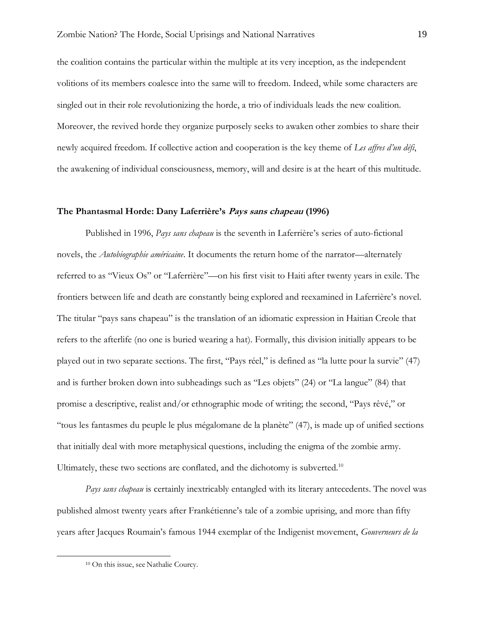the coalition contains the particular within the multiple at its very inception, as the independent volitions of its members coalesce into the same will to freedom. Indeed, while some characters are singled out in their role revolutionizing the horde, a trio of individuals leads the new coalition. Moreover, the revived horde they organize purposely seeks to awaken other zombies to share their newly acquired freedom. If collective action and cooperation is the key theme of *Les affres d'un défi*, the awakening of individual consciousness, memory, will and desire is at the heart of this multitude.

#### **The Phantasmal Horde: Dany Laferrière's Pays sans chapeau (1996)**

Published in 1996, *Pays sans chapeau* is the seventh in Laferrière's series of auto-fictional novels, the *Autobiographie américaine*. It documents the return home of the narrator—alternately referred to as "Vieux Os" or "Laferrière"—on his first visit to Haiti after twenty years in exile. The frontiers between life and death are constantly being explored and reexamined in Laferrière's novel. The titular "pays sans chapeau" is the translation of an idiomatic expression in Haitian Creole that refers to the afterlife (no one is buried wearing a hat). Formally, this division initially appears to be played out in two separate sections. The first, "Pays réel," is defined as "la lutte pour la survie" (47) and is further broken down into subheadings such as "Les objets" (24) or "La langue" (84) that promise a descriptive, realist and/or ethnographic mode of writing; the second, "Pays rêvé," or "tous les fantasmes du peuple le plus mégalomane de la planète" (47), is made up of unified sections that initially deal with more metaphysical questions, including the enigma of the zombie army. Ultimately, these two sections are conflated, and the dichotomy is subverted.<sup>10</sup>

*Pays sans chapeau* is certainly inextricably entangled with its literary antecedents. The novel was published almost twenty years after Frankétienne's tale of a zombie uprising, and more than fifty years after Jacques Roumain's famous 1944 exemplar of the Indigenist movement, *Gouverneurs de la* 

<sup>10</sup> On this issue, see Nathalie Courcy.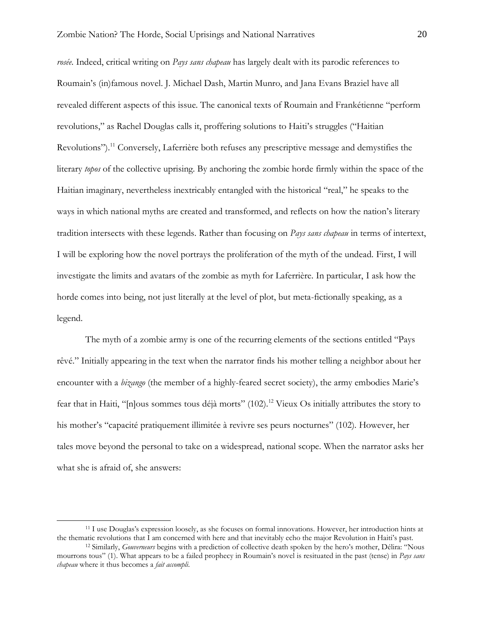*rosée*. Indeed, critical writing on *Pays sans chapeau* has largely dealt with its parodic references to Roumain's (in)famous novel. J. Michael Dash, Martin Munro, and Jana Evans Braziel have all revealed different aspects of this issue. The canonical texts of Roumain and Frankétienne "perform revolutions," as Rachel Douglas calls it, proffering solutions to Haiti's struggles ("Haitian Revolutions").<sup>11</sup> Conversely, Laferrière both refuses any prescriptive message and demystifies the literary *topos* of the collective uprising. By anchoring the zombie horde firmly within the space of the Haitian imaginary, nevertheless inextricably entangled with the historical "real," he speaks to the ways in which national myths are created and transformed, and reflects on how the nation's literary tradition intersects with these legends. Rather than focusing on *Pays sans chapeau* in terms of intertext, I will be exploring how the novel portrays the proliferation of the myth of the undead. First, I will investigate the limits and avatars of the zombie as myth for Laferrière. In particular, I ask how the horde comes into being, not just literally at the level of plot, but meta-fictionally speaking, as a legend.

The myth of a zombie army is one of the recurring elements of the sections entitled "Pays rêvé." Initially appearing in the text when the narrator finds his mother telling a neighbor about her encounter with a *bizango* (the member of a highly-feared secret society), the army embodies Marie's fear that in Haiti, "[n]ous sommes tous déjà morts" (102).<sup>12</sup> Vieux Os initially attributes the story to his mother's "capacité pratiquement illimitée à revivre ses peurs nocturnes" (102). However, her tales move beyond the personal to take on a widespread, national scope. When the narrator asks her what she is afraid of, she answers:

<sup>11</sup> I use Douglas's expression loosely, as she focuses on formal innovations. However, her introduction hints at the thematic revolutions that I am concerned with here and that inevitably echo the major Revolution in Haiti's past.

<sup>12</sup> Similarly, *Gouverneurs* begins with a prediction of collective death spoken by the hero's mother, Délira: "Nous mourrons tous" (1). What appears to be a failed prophecy in Roumain's novel is resituated in the past (tense) in *Pays sans chapeau* where it thus becomes a *fait accompli*.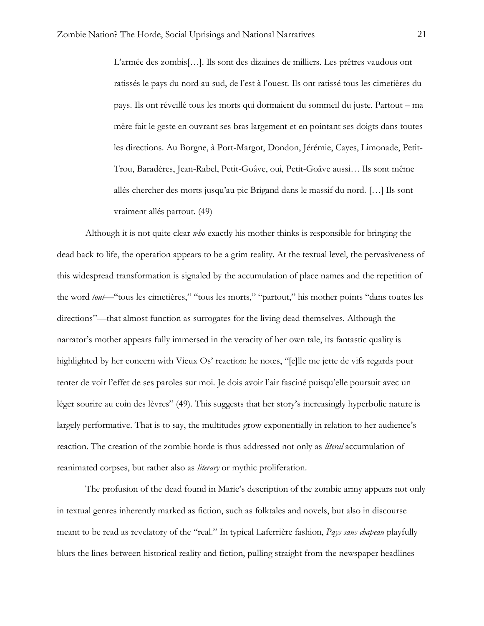L'armée des zombis[…]. Ils sont des dizaines de milliers. Les prêtres vaudous ont ratissés le pays du nord au sud, de l'est à l'ouest. Ils ont ratissé tous les cimetières du pays. Ils ont réveillé tous les morts qui dormaient du sommeil du juste. Partout – ma mère fait le geste en ouvrant ses bras largement et en pointant ses doigts dans toutes les directions. Au Borgne, à Port-Margot, Dondon, Jérémie, Cayes, Limonade, Petit-Trou, Baradères, Jean-Rabel, Petit-Goâve, oui, Petit-Goâve aussi… Ils sont même allés chercher des morts jusqu'au pic Brigand dans le massif du nord. […] Ils sont vraiment allés partout. (49)

Although it is not quite clear *who* exactly his mother thinks is responsible for bringing the dead back to life, the operation appears to be a grim reality. At the textual level, the pervasiveness of this widespread transformation is signaled by the accumulation of place names and the repetition of the word *tout*—"tous les cimetières," "tous les morts," "partout," his mother points "dans toutes les directions"—that almost function as surrogates for the living dead themselves. Although the narrator's mother appears fully immersed in the veracity of her own tale, its fantastic quality is highlighted by her concern with Vieux Os' reaction: he notes, "[e]lle me jette de vifs regards pour tenter de voir l'effet de ses paroles sur moi. Je dois avoir l'air fasciné puisqu'elle poursuit avec un léger sourire au coin des lèvres" (49). This suggests that her story's increasingly hyperbolic nature is largely performative. That is to say, the multitudes grow exponentially in relation to her audience's reaction. The creation of the zombie horde is thus addressed not only as *literal* accumulation of reanimated corpses, but rather also as *literary* or mythic proliferation.

The profusion of the dead found in Marie's description of the zombie army appears not only in textual genres inherently marked as fiction, such as folktales and novels, but also in discourse meant to be read as revelatory of the "real." In typical Laferrière fashion, *Pays sans chapeau* playfully blurs the lines between historical reality and fiction, pulling straight from the newspaper headlines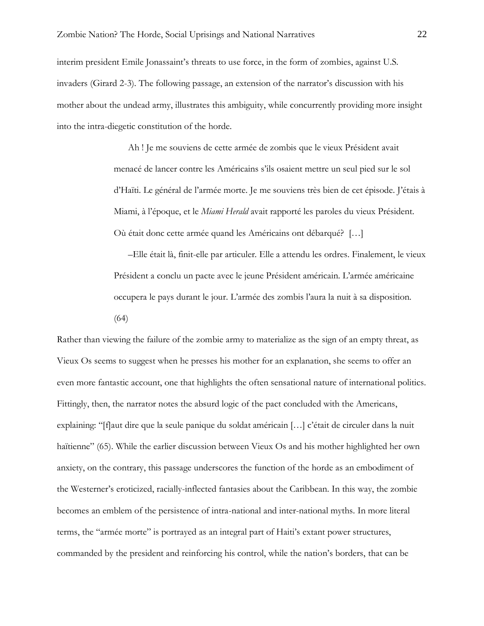interim president Emile Jonassaint's threats to use force, in the form of zombies, against U.S. invaders (Girard 2-3). The following passage, an extension of the narrator's discussion with his mother about the undead army, illustrates this ambiguity, while concurrently providing more insight into the intra-diegetic constitution of the horde.

> Ah ! Je me souviens de cette armée de zombis que le vieux Président avait menacé de lancer contre les Américains s'ils osaient mettre un seul pied sur le sol d'Haïti. Le général de l'armée morte. Je me souviens très bien de cet épisode. J'étais à Miami, à l'époque, et le *Miami Herald* avait rapporté les paroles du vieux Président. Où était donc cette armée quand les Américains ont débarqué? […]

> –Elle était là, finit-elle par articuler. Elle a attendu les ordres. Finalement, le vieux Président a conclu un pacte avec le jeune Président américain. L'armée américaine occupera le pays durant le jour. L'armée des zombis l'aura la nuit à sa disposition. (64)

Rather than viewing the failure of the zombie army to materialize as the sign of an empty threat, as Vieux Os seems to suggest when he presses his mother for an explanation, she seems to offer an even more fantastic account, one that highlights the often sensational nature of international politics. Fittingly, then, the narrator notes the absurd logic of the pact concluded with the Americans, explaining: "[f]aut dire que la seule panique du soldat américain […] c'était de circuler dans la nuit haïtienne" (65). While the earlier discussion between Vieux Os and his mother highlighted her own anxiety, on the contrary, this passage underscores the function of the horde as an embodiment of the Westerner's eroticized, racially-inflected fantasies about the Caribbean. In this way, the zombie becomes an emblem of the persistence of intra-national and inter-national myths. In more literal terms, the "armée morte" is portrayed as an integral part of Haiti's extant power structures, commanded by the president and reinforcing his control, while the nation's borders, that can be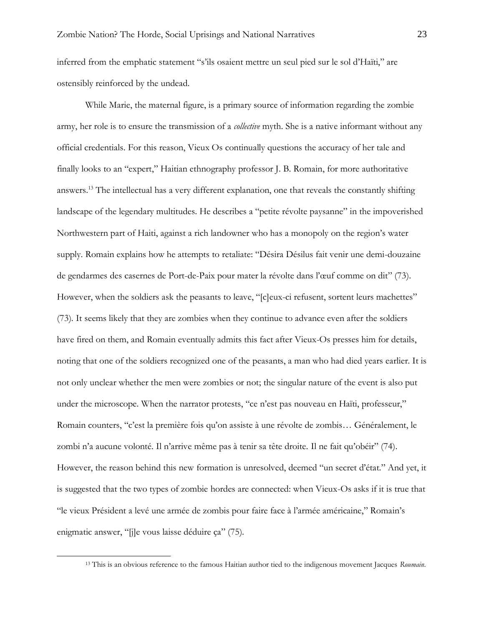inferred from the emphatic statement "s'ils osaient mettre un seul pied sur le sol d'Haïti," are ostensibly reinforced by the undead.

While Marie, the maternal figure, is a primary source of information regarding the zombie army, her role is to ensure the transmission of a *collective* myth. She is a native informant without any official credentials. For this reason, Vieux Os continually questions the accuracy of her tale and finally looks to an "expert," Haitian ethnography professor J. B. Romain, for more authoritative answers.<sup>13</sup> The intellectual has a very different explanation, one that reveals the constantly shifting landscape of the legendary multitudes. He describes a "petite révolte paysanne" in the impoverished Northwestern part of Haiti, against a rich landowner who has a monopoly on the region's water supply. Romain explains how he attempts to retaliate: "Désira Désilus fait venir une demi-douzaine de gendarmes des casernes de Port-de-Paix pour mater la révolte dans l'œuf comme on dit" (73). However, when the soldiers ask the peasants to leave, "[c]eux-ci refusent, sortent leurs machettes" (73). It seems likely that they are zombies when they continue to advance even after the soldiers have fired on them, and Romain eventually admits this fact after Vieux-Os presses him for details, noting that one of the soldiers recognized one of the peasants, a man who had died years earlier. It is not only unclear whether the men were zombies or not; the singular nature of the event is also put under the microscope. When the narrator protests, "ce n'est pas nouveau en Haïti, professeur," Romain counters, "c'est la première fois qu'on assiste à une révolte de zombis… Généralement, le zombi n'a aucune volonté. Il n'arrive même pas à tenir sa tête droite. Il ne fait qu'obéir" (74). However, the reason behind this new formation is unresolved, deemed "un secret d'état." And yet, it is suggested that the two types of zombie hordes are connected: when Vieux-Os asks if it is true that "le vieux Président a levé une armée de zombis pour faire face à l'armée américaine," Romain's enigmatic answer, "[j]e vous laisse déduire ça" (75).

<sup>13</sup> This is an obvious reference to the famous Haitian author tied to the indigenous movement Jacques *Roumain*.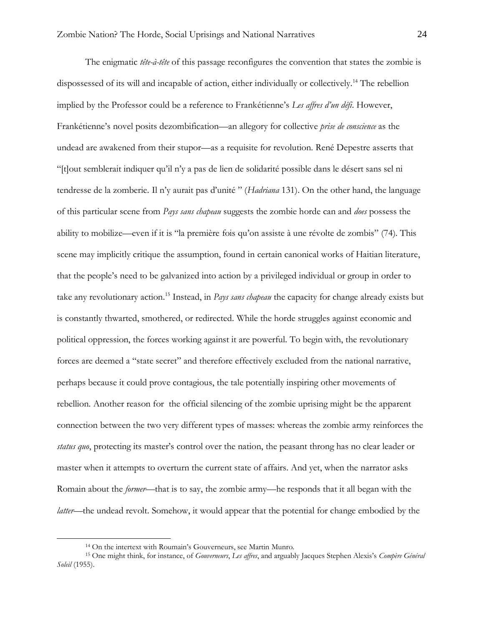The enigmatic *tête-à-tête* of this passage reconfigures the convention that states the zombie is dispossessed of its will and incapable of action, either individually or collectively.<sup>14</sup> The rebellion implied by the Professor could be a reference to Frankétienne's *Les affres d'un défi*. However, Frankétienne's novel posits dezombification—an allegory for collective *prise de conscience* as the undead are awakened from their stupor—as a requisite for revolution. René Depestre asserts that "[t]out semblerait indiquer qu'il n'y a pas de lien de solidarité possible dans le désert sans sel ni tendresse de la zomberie. Il n'y aurait pas d'unité " (*Hadriana* 131). On the other hand, the language of this particular scene from *Pays sans chapeau* suggests the zombie horde can and *does* possess the ability to mobilize—even if it is "la première fois qu'on assiste à une révolte de zombis" (74). This scene may implicitly critique the assumption, found in certain canonical works of Haitian literature, that the people's need to be galvanized into action by a privileged individual or group in order to take any revolutionary action. <sup>15</sup> Instead, in *Pays sans chapeau* the capacity for change already exists but is constantly thwarted, smothered, or redirected. While the horde struggles against economic and political oppression, the forces working against it are powerful. To begin with, the revolutionary forces are deemed a "state secret" and therefore effectively excluded from the national narrative, perhaps because it could prove contagious, the tale potentially inspiring other movements of rebellion. Another reason for the official silencing of the zombie uprising might be the apparent connection between the two very different types of masses: whereas the zombie army reinforces the *status quo*, protecting its master's control over the nation, the peasant throng has no clear leader or master when it attempts to overturn the current state of affairs. And yet, when the narrator asks Romain about the *former*—that is to say, the zombie army—he responds that it all began with the *latter*—the undead revolt. Somehow, it would appear that the potential for change embodied by the

<sup>14</sup> On the intertext with Roumain's Gouverneurs, see Martin Munro.

<sup>15</sup> One might think, for instance, of *Gouverneurs*, *Les affres*, and arguably Jacques Stephen Alexis's *Compère Général Soleil* (1955).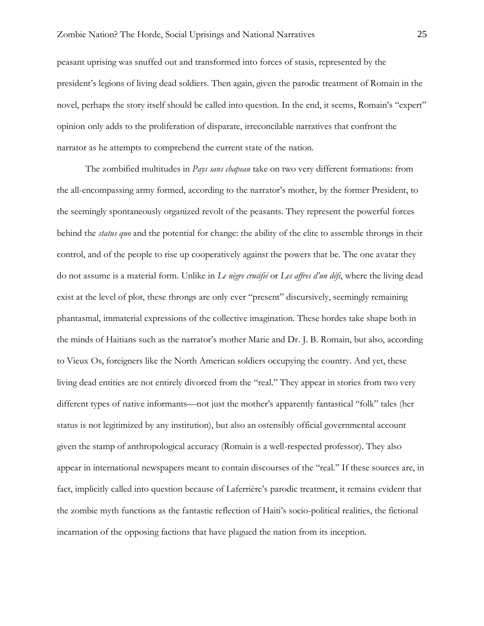peasant uprising was snuffed out and transformed into forces of stasis, represented by the president's legions of living dead soldiers. Then again, given the parodic treatment of Romain in the novel, perhaps the story itself should be called into question. In the end, it seems, Romain's "expert" opinion only adds to the proliferation of disparate, irreconcilable narratives that confront the narrator as he attempts to comprehend the current state of the nation.

The zombified multitudes in *Pays sans chapeau* take on two very different formations: from the all-encompassing army formed, according to the narrator's mother, by the former President, to the seemingly spontaneously organized revolt of the peasants. They represent the powerful forces behind the *status quo* and the potential for change: the ability of the elite to assemble throngs in their control, and of the people to rise up cooperatively against the powers that be. The one avatar they do not assume is a material form. Unlike in *Le nègre crucifié* or *Les affres d'un défi*, where the living dead exist at the level of plot, these throngs are only ever "present" discursively, seemingly remaining phantasmal, immaterial expressions of the collective imagination. These hordes take shape both in the minds of Haitians such as the narrator's mother Marie and Dr. J. B. Romain, but also, according to Vieux Os, foreigners like the North American soldiers occupying the country. And yet, these living dead entities are not entirely divorced from the "real." They appear in stories from two very different types of native informants—not just the mother's apparently fantastical "folk" tales (her status is not legitimized by any institution), but also an ostensibly official governmental account given the stamp of anthropological accuracy (Romain is a well-respected professor). They also appear in international newspapers meant to contain discourses of the "real." If these sources are, in fact, implicitly called into question because of Laferrière's parodic treatment, it remains evident that the zombie myth functions as the fantastic reflection of Haiti's socio-political realities, the fictional incarnation of the opposing factions that have plagued the nation from its inception.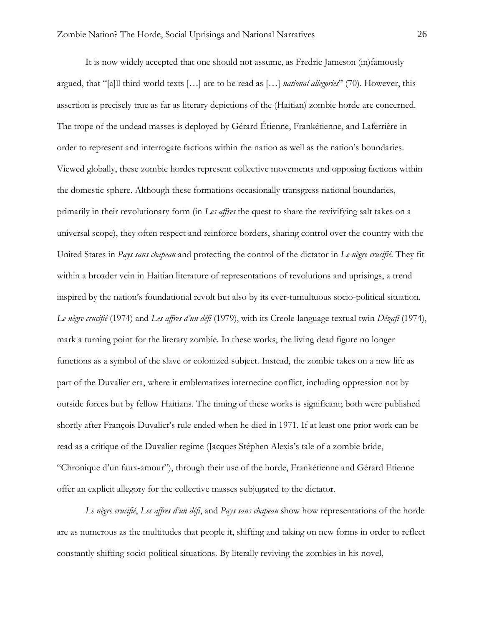It is now widely accepted that one should not assume, as Fredric Jameson (in)famously argued, that "[a]ll third-world texts […] are to be read as […] *national allegories*" (70). However, this assertion is precisely true as far as literary depictions of the (Haitian) zombie horde are concerned. The trope of the undead masses is deployed by Gérard Étienne, Frankétienne, and Laferrière in order to represent and interrogate factions within the nation as well as the nation's boundaries. Viewed globally, these zombie hordes represent collective movements and opposing factions within the domestic sphere. Although these formations occasionally transgress national boundaries, primarily in their revolutionary form (in *Les affres* the quest to share the revivifying salt takes on a universal scope), they often respect and reinforce borders, sharing control over the country with the United States in *Pays sans chapeau* and protecting the control of the dictator in *Le nègre crucifié*. They fit within a broader vein in Haitian literature of representations of revolutions and uprisings, a trend inspired by the nation's foundational revolt but also by its ever-tumultuous socio-political situation. *Le nègre crucifié* (1974) and *Les affres d'un défi* (1979), with its Creole-language textual twin *Dézafi* (1974), mark a turning point for the literary zombie. In these works, the living dead figure no longer functions as a symbol of the slave or colonized subject. Instead, the zombie takes on a new life as part of the Duvalier era, where it emblematizes internecine conflict, including oppression not by outside forces but by fellow Haitians. The timing of these works is significant; both were published shortly after François Duvalier's rule ended when he died in 1971. If at least one prior work can be read as a critique of the Duvalier regime (Jacques Stéphen Alexis's tale of a zombie bride, "Chronique d'un faux-amour"), through their use of the horde, Frankétienne and Gérard Etienne offer an explicit allegory for the collective masses subjugated to the dictator.

*Le nègre crucifié*, *Les affres d'un défi*, and *Pays sans chapeau* show how representations of the horde are as numerous as the multitudes that people it, shifting and taking on new forms in order to reflect constantly shifting socio-political situations. By literally reviving the zombies in his novel,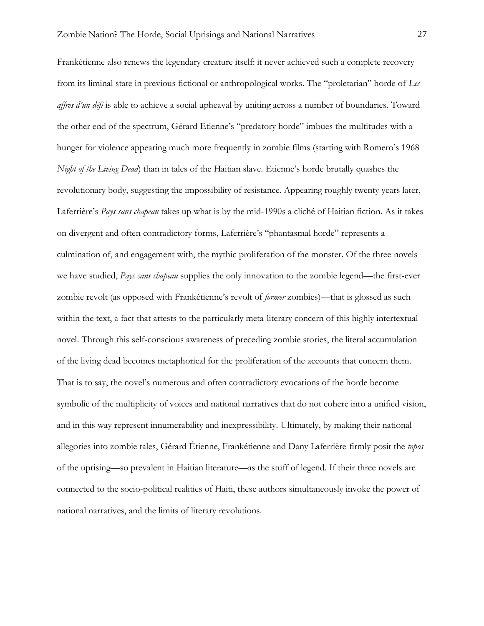Frankétienne also renews the legendary creature itself: it never achieved such a complete recovery from its liminal state in previous fictional or anthropological works. The "proletarian" horde of *Les affres d'un défi* is able to achieve a social upheaval by uniting across a number of boundaries. Toward the other end of the spectrum, Gérard Etienne's "predatory horde" imbues the multitudes with a hunger for violence appearing much more frequently in zombie films (starting with Romero's 1968 *Night of the Living Dead*) than in tales of the Haitian slave. Etienne's horde brutally quashes the revolutionary body, suggesting the impossibility of resistance. Appearing roughly twenty years later, Laferrière's *Pays sans chapeau* takes up what is by the mid-1990s a cliché of Haitian fiction. As it takes on divergent and often contradictory forms, Laferrière's "phantasmal horde" represents a culmination of, and engagement with, the mythic proliferation of the monster. Of the three novels we have studied, *Pays sans chapeau* supplies the only innovation to the zombie legend—the first-ever zombie revolt (as opposed with Frankétienne's revolt of *former* zombies)—that is glossed as such within the text, a fact that attests to the particularly meta-literary concern of this highly intertextual novel. Through this self-conscious awareness of preceding zombie stories, the literal accumulation of the living dead becomes metaphorical for the proliferation of the accounts that concern them. That is to say, the novel's numerous and often contradictory evocations of the horde become symbolic of the multiplicity of voices and national narratives that do not cohere into a unified vision, and in this way represent innumerability and inexpressibility. Ultimately, by making their national allegories into zombie tales, Gérard Étienne, Frankétienne and Dany Laferrière firmly posit the *topos* of the uprising—so prevalent in Haitian literature—as the stuff of legend. If their three novels are connected to the socio-political realities of Haiti, these authors simultaneously invoke the power of national narratives, and the limits of literary revolutions.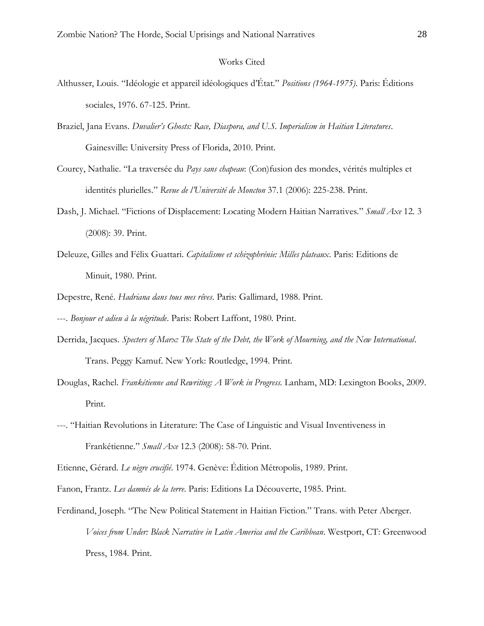### Works Cited

- Althusser, Louis. "Idéologie et appareil idéologiques d'État." *Positions (1964-1975)*. Paris: Éditions sociales, 1976. 67-125. Print.
- Braziel, Jana Evans. *Duvalier's Ghosts: Race, Diaspora, and U.S. Imperialism in Haitian Literatures*. Gainesville: University Press of Florida, 2010. Print.
- Courcy, Nathalie. "La traversée du *Pays sans chapeau*: (Con)fusion des mondes, vérités multiples et identités plurielles." *Revue de l'Université de Moncton* 37.1 (2006): 225-238. Print.
- Dash, J. Michael. "Fictions of Displacement: Locating Modern Haitian Narratives." *Small Axe* 12. 3 (2008): 39. Print.
- Deleuze, Gilles and Félix Guattari. *Capitalisme et schizophrénie: Milles plateaux*. Paris: Editions de Minuit, 1980. Print.
- Depestre, René. *Hadriana dans tous mes rêves*. Paris: Gallimard, 1988. Print.
- ---. *Bonjour et adieu à la négritude*. Paris: Robert Laffont, 1980. Print.
- Derrida, Jacques. *Specters of Marx: The State of the Debt, the Work of Mourning, and the New International*. Trans. Peggy Kamuf. New York: Routledge, 1994. Print.
- Douglas, Rachel. *Frankétienne and Rewriting: A Work in Progress*. Lanham, MD: Lexington Books, 2009. Print.
- ---. "Haitian Revolutions in Literature: The Case of Linguistic and Visual Inventiveness in Frankétienne." *Small Axe* 12.3 (2008): 58-70. Print.

Etienne, Gérard. *Le nègre crucifié*. 1974. Genève: Édition Métropolis, 1989. Print.

Fanon, Frantz. *Les damnés de la terre*. Paris: Editions La Découverte, 1985. Print.

Ferdinand, Joseph. "The New Political Statement in Haitian Fiction." Trans. with Peter Aberger. *Voices from Under: Black Narrative in Latin America and the Caribbean*. Westport, CT: Greenwood Press, 1984. Print.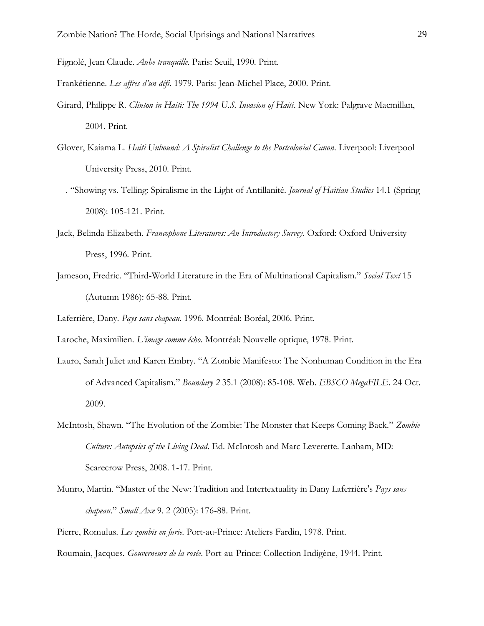- Fignolé, Jean Claude. *Aube tranquille*. Paris: Seuil, 1990. Print.
- Frankétienne. *Les affres d'un défi*. 1979. Paris: Jean-Michel Place, 2000. Print.
- Girard, Philippe R. *Clinton in Haiti: The 1994 U.S. Invasion of Haiti*. New York: Palgrave Macmillan, 2004. Print.
- Glover, Kaiama L. *Haiti Unbound: A Spiralist Challenge to the Postcolonial Canon*. Liverpool: Liverpool University Press, 2010. Print.
- ---. "Showing vs. Telling: Spiralisme in the Light of Antillanité. *Journal of Haitian Studies* 14.1 (Spring 2008): 105-121. Print.
- Jack, Belinda Elizabeth. *Francophone Literatures: An Introductory Survey*. Oxford: Oxford University Press, 1996. Print.
- Jameson, Fredric. "Third-World Literature in the Era of Multinational Capitalism." *Social Text* 15 (Autumn 1986): 65-88. Print.
- Laferrière, Dany. *Pays sans chapeau*. 1996. Montréal: Boréal, 2006. Print.

Laroche, Maximilien. *L'image comme écho*. Montréal: Nouvelle optique, 1978. Print.

- Lauro, Sarah Juliet and Karen Embry. "A Zombie Manifesto: The Nonhuman Condition in the Era of Advanced Capitalism." *Boundary 2* 35.1 (2008): 85-108. Web. *EBSCO MegaFILE*. 24 Oct. 2009.
- McIntosh, Shawn. "The Evolution of the Zombie: The Monster that Keeps Coming Back." *Zombie Culture: Autopsies of the Living Dead*. Ed. McIntosh and Marc Leverette. Lanham, MD: Scarecrow Press, 2008. 1-17. Print.
- Munro, Martin. "Master of the New: Tradition and Intertextuality in Dany Laferrière's *Pays sans chapeau*." *Small Axe* 9. 2 (2005): 176-88. Print.

Pierre, Romulus. *Les zombis en furie*. Port-au-Prince: Ateliers Fardin, 1978. Print.

Roumain, Jacques. *Gouverneurs de la rosée*. Port-au-Prince: Collection Indigène, 1944. Print.